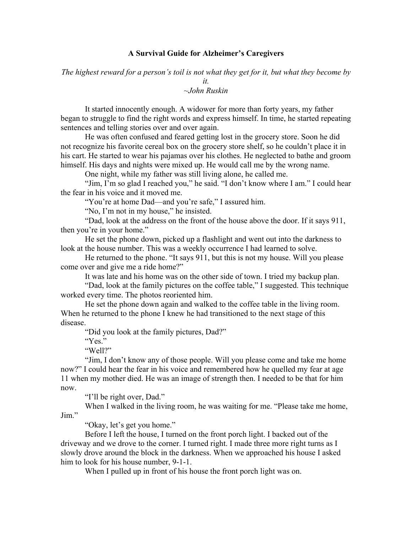## **A Survival Guide for Alzheimer's Caregivers**

*The highest reward for a person's toil is not what they get for it, but what they become by it.*

~*John Ruskin*

It started innocently enough. A widower for more than forty years, my father began to struggle to find the right words and express himself. In time, he started repeating sentences and telling stories over and over again.

He was often confused and feared getting lost in the grocery store. Soon he did not recognize his favorite cereal box on the grocery store shelf, so he couldn't place it in his cart. He started to wear his pajamas over his clothes. He neglected to bathe and groom himself. His days and nights were mixed up. He would call me by the wrong name.

One night, while my father was still living alone, he called me.

"Jim, I'm so glad I reached you," he said. "I don't know where I am." I could hear the fear in his voice and it moved me.

"You're at home Dad—and you're safe," I assured him.

"No, I'm not in my house," he insisted.

"Dad, look at the address on the front of the house above the door. If it says 911, then you're in your home."

He set the phone down, picked up a flashlight and went out into the darkness to look at the house number. This was a weekly occurrence I had learned to solve.

He returned to the phone. "It says 911, but this is not my house. Will you please come over and give me a ride home?"

It was late and his home was on the other side of town. I tried my backup plan.

"Dad, look at the family pictures on the coffee table," I suggested. This technique worked every time. The photos reoriented him.

He set the phone down again and walked to the coffee table in the living room. When he returned to the phone I knew he had transitioned to the next stage of this disease.

"Did you look at the family pictures, Dad?"

"Yes."

"Well?"

"Jim, I don't know any of those people. Will you please come and take me home now?" I could hear the fear in his voice and remembered how he quelled my fear at age 11 when my mother died. He was an image of strength then. I needed to be that for him now.

"I'll be right over, Dad."

When I walked in the living room, he was waiting for me. "Please take me home, Jim."

"Okay, let's get you home."

Before I left the house, I turned on the front porch light. I backed out of the driveway and we drove to the corner. I turned right. I made three more right turns as I slowly drove around the block in the darkness. When we approached his house I asked him to look for his house number, 9-1-1.

When I pulled up in front of his house the front porch light was on.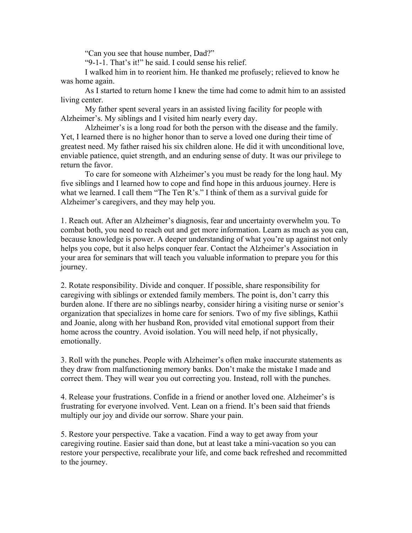"Can you see that house number, Dad?"

"9-1-1. That's it!" he said. I could sense his relief.

I walked him in to reorient him. He thanked me profusely; relieved to know he was home again.

As I started to return home I knew the time had come to admit him to an assisted living center.

My father spent several years in an assisted living facility for people with Alzheimer's. My siblings and I visited him nearly every day.

Alzheimer's is a long road for both the person with the disease and the family. Yet, I learned there is no higher honor than to serve a loved one during their time of greatest need. My father raised his six children alone. He did it with unconditional love, enviable patience, quiet strength, and an enduring sense of duty. It was our privilege to return the favor.

To care for someone with Alzheimer's you must be ready for the long haul. My five siblings and I learned how to cope and find hope in this arduous journey. Here is what we learned. I call them "The Ten R's." I think of them as a survival guide for Alzheimer's caregivers, and they may help you.

1. Reach out. After an Alzheimer's diagnosis, fear and uncertainty overwhelm you. To combat both, you need to reach out and get more information. Learn as much as you can, because knowledge is power. A deeper understanding of what you're up against not only helps you cope, but it also helps conquer fear. Contact the Alzheimer's Association in your area for seminars that will teach you valuable information to prepare you for this journey.

2. Rotate responsibility. Divide and conquer. If possible, share responsibility for caregiving with siblings or extended family members. The point is, don't carry this burden alone. If there are no siblings nearby, consider hiring a visiting nurse or senior's organization that specializes in home care for seniors. Two of my five siblings, Kathii and Joanie, along with her husband Ron, provided vital emotional support from their home across the country. Avoid isolation. You will need help, if not physically, emotionally.

3. Roll with the punches. People with Alzheimer's often make inaccurate statements as they draw from malfunctioning memory banks. Don't make the mistake I made and correct them. They will wear you out correcting you. Instead, roll with the punches.

4. Release your frustrations. Confide in a friend or another loved one. Alzheimer's is frustrating for everyone involved. Vent. Lean on a friend. It's been said that friends multiply our joy and divide our sorrow. Share your pain.

5. Restore your perspective. Take a vacation. Find a way to get away from your caregiving routine. Easier said than done, but at least take a mini-vacation so you can restore your perspective, recalibrate your life, and come back refreshed and recommitted to the journey.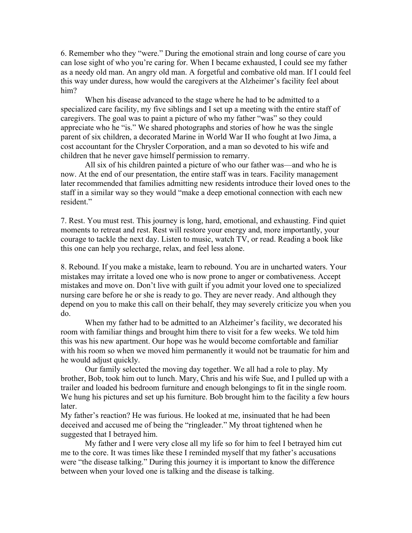6. Remember who they "were." During the emotional strain and long course of care you can lose sight of who you're caring for. When I became exhausted, I could see my father as a needy old man. An angry old man. A forgetful and combative old man. If I could feel this way under duress, how would the caregivers at the Alzheimer's facility feel about him?

When his disease advanced to the stage where he had to be admitted to a specialized care facility, my five siblings and I set up a meeting with the entire staff of caregivers. The goal was to paint a picture of who my father "was" so they could appreciate who he "is." We shared photographs and stories of how he was the single parent of six children, a decorated Marine in World War II who fought at Iwo Jima, a cost accountant for the Chrysler Corporation, and a man so devoted to his wife and children that he never gave himself permission to remarry.

All six of his children painted a picture of who our father was—and who he is now. At the end of our presentation, the entire staff was in tears. Facility management later recommended that families admitting new residents introduce their loved ones to the staff in a similar way so they would "make a deep emotional connection with each new resident."

7. Rest. You must rest. This journey is long, hard, emotional, and exhausting. Find quiet moments to retreat and rest. Rest will restore your energy and, more importantly, your courage to tackle the next day. Listen to music, watch TV, or read. Reading a book like this one can help you recharge, relax, and feel less alone.

8. Rebound. If you make a mistake, learn to rebound. You are in uncharted waters. Your mistakes may irritate a loved one who is now prone to anger or combativeness. Accept mistakes and move on. Don't live with guilt if you admit your loved one to specialized nursing care before he or she is ready to go. They are never ready. And although they depend on you to make this call on their behalf, they may severely criticize you when you do.

When my father had to be admitted to an Alzheimer's facility, we decorated his room with familiar things and brought him there to visit for a few weeks. We told him this was his new apartment. Our hope was he would become comfortable and familiar with his room so when we moved him permanently it would not be traumatic for him and he would adjust quickly.

Our family selected the moving day together. We all had a role to play. My brother, Bob, took him out to lunch. Mary, Chris and his wife Sue, and I pulled up with a trailer and loaded his bedroom furniture and enough belongings to fit in the single room. We hung his pictures and set up his furniture. Bob brought him to the facility a few hours later.

My father's reaction? He was furious. He looked at me, insinuated that he had been deceived and accused me of being the "ringleader." My throat tightened when he suggested that I betrayed him.

My father and I were very close all my life so for him to feel I betrayed him cut me to the core. It was times like these I reminded myself that my father's accusations were "the disease talking." During this journey it is important to know the difference between when your loved one is talking and the disease is talking.